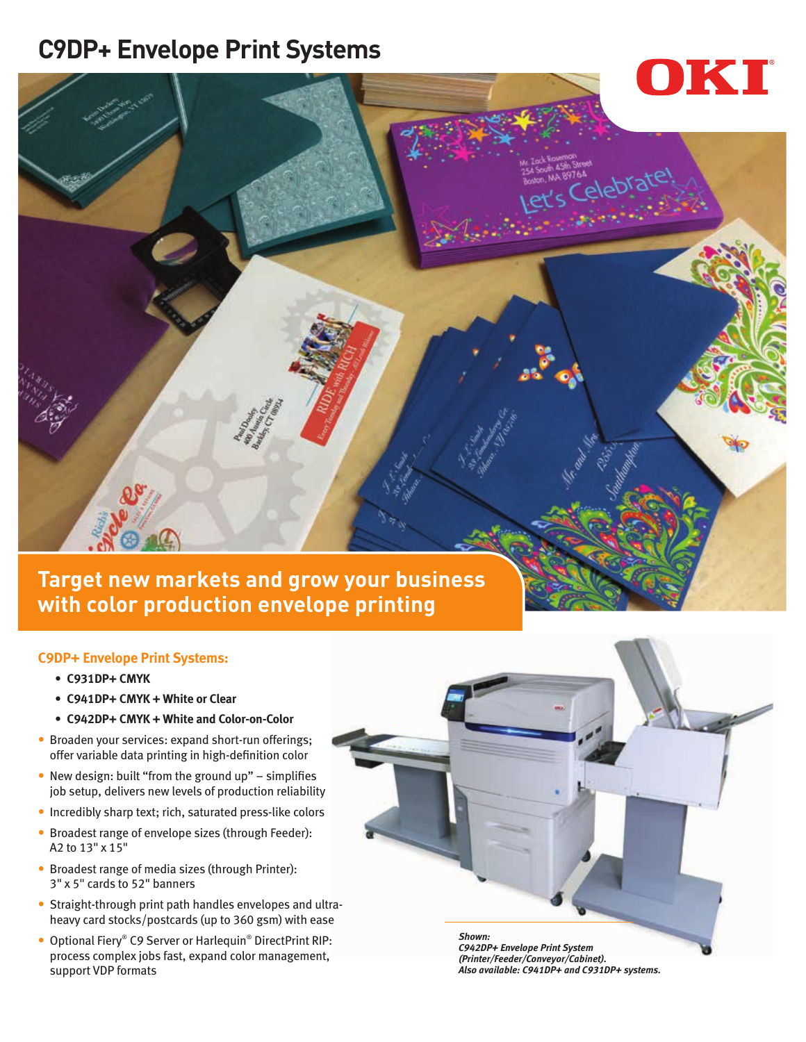## **C9DP+ Envelope Print Systems**



**Target new markets and grow your business with color production envelope printing** 

#### **C9DP+ Envelope Print Systems:**

- **• C931DP+ CMYK**
- **• C941DP+ CMYK + White or Clear**
- **• C942DP+ CMYK + White and Color-on-Color**
- Broaden your services: expand short-run offerings; offer variable data printing in high-definition color
- New design: built "from the ground up" simplifies job setup, delivers new levels of production reliability
- Incredibly sharp text; rich, saturated press-like colors
- Broadest range of envelope sizes (through Feeder): A2 to 13" x 15"
- Broadest range of media sizes (through Printer): 3" x 5" cards to 52" banners
- Straight-through print path handles envelopes and ultraheavy card stocks/postcards (up to 360 gsm) with ease
- Optional Fiery® C9 Server or Harlequin® DirectPrint RIP: process complex jobs fast, expand color management, support VDP formats

*Shown: C942DP+ Envelope Print System (Printer/Feeder/Conveyor/Cabinet). Also available: C941DP+ and C931DP+ systems.*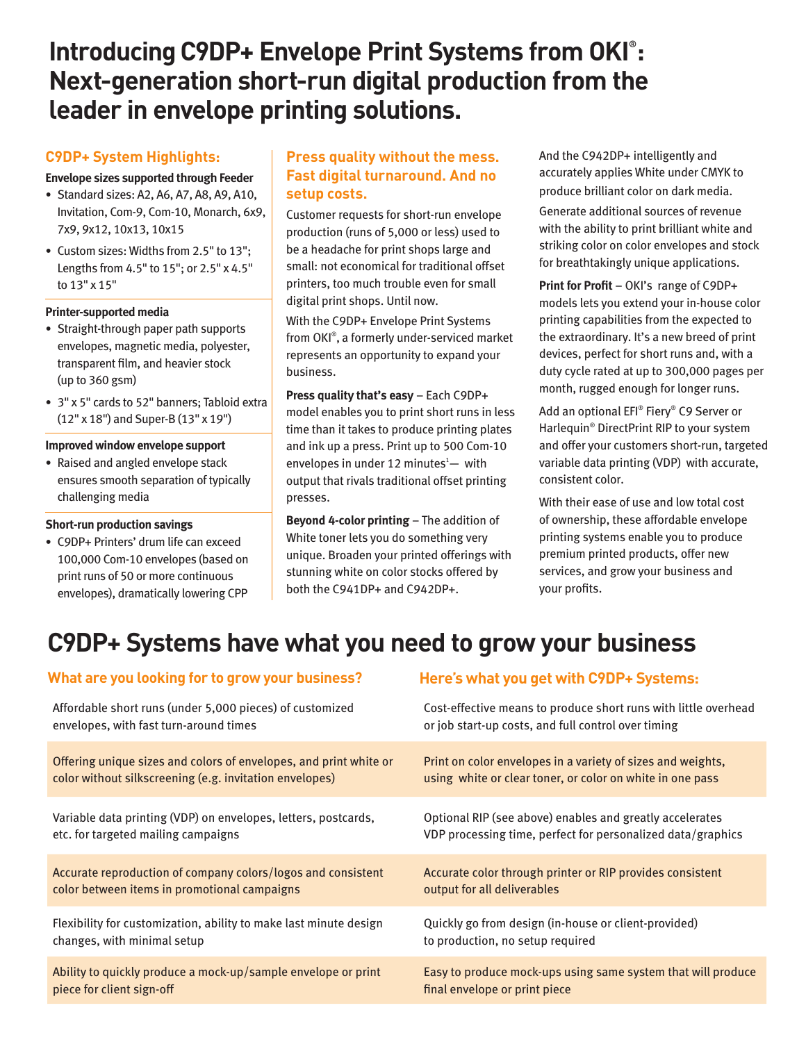## **Introducing C9DP+ Envelope Print Systems from OKI® : Next-generation short-run digital production from the leader in envelope printing solutions.**

### **C9DP+ System Highlights:**

#### **Envelope sizes supported through Feeder**

- **•** Standard sizes: A2, A6, A7, A8, A9, A10, Invitation, Com-9, Com-10, Monarch, 6x9, 7x9, 9x12, 10x13, 10x15
- **•** Custom sizes: Widths from 2.5" to 13"; Lengths from 4.5" to 15"; or 2.5" x 4.5" to 13" x 15"

#### **Printer-supported media**

- **•** Straight-through paper path supports envelopes, magnetic media, polyester, transparent film, and heavier stock (up to 360 gsm)
- **•** 3" x 5" cards to 52" banners; Tabloid extra (12" x 18") and Super-B (13" x 19")

#### **Improved window envelope support**

**•** Raised and angled envelope stack ensures smooth separation of typically challenging media

#### **Short-run production savings**

**•** C9DP+ Printers' drum life can exceed 100,000 Com-10 envelopes (based on print runs of 50 or more continuous envelopes), dramatically lowering CPP

#### **Press quality without the mess. Fast digital turnaround. And no setup costs.**

Customer requests for short-run envelope production (runs of 5,000 or less) used to be a headache for print shops large and small: not economical for traditional offset printers, too much trouble even for small digital print shops. Until now.

With the C9DP+ Envelope Print Systems from OKI® , a formerly under-serviced market represents an opportunity to expand your business.

**Press quality that's easy** – Each C9DP+ model enables you to print short runs in less time than it takes to produce printing plates and ink up a press. Print up to 500 Com-10 envelopes in under 12 minutes $<sup>1</sup>$  with</sup> output that rivals traditional offset printing presses.

**Beyond 4-color printing** – The addition of White toner lets you do something very unique. Broaden your printed offerings with stunning white on color stocks offered by both the C941DP+ and C942DP+.

And the C942DP+ intelligently and accurately applies White under CMYK to produce brilliant color on dark media.

Generate additional sources of revenue with the ability to print brilliant white and striking color on color envelopes and stock for breathtakingly unique applications.

**Print for Profit** – OKI's range of C9DP+ models lets you extend your in-house color printing capabilities from the expected to the extraordinary. It's a new breed of print devices, perfect for short runs and, with a duty cycle rated at up to 300,000 pages per month, rugged enough for longer runs.

Add an optional EFI® Fiery® C9 Server or Harlequin® DirectPrint RIP to your system and offer your customers short-run, targeted variable data printing (VDP) with accurate, consistent color.

With their ease of use and low total cost of ownership, these affordable envelope printing systems enable you to produce premium printed products, offer new services, and grow your business and your profits.

# **C9DP+ Systems have what you need to grow your business**

| <b>VIDEL AT EVOU LOOKING TOT TO GEOW YOUT DUSINESS!</b>           | Here's what you get with C7DP+ Systems:                         |
|-------------------------------------------------------------------|-----------------------------------------------------------------|
| Affordable short runs (under 5,000 pieces) of customized          | Cost-effective means to produce short runs with little overhead |
| envelopes, with fast turn-around times                            | or job start-up costs, and full control over timing             |
| Offering unique sizes and colors of envelopes, and print white or | Print on color envelopes in a variety of sizes and weights,     |
| color without silkscreening (e.g. invitation envelopes)           | using white or clear toner, or color on white in one pass       |
| Variable data printing (VDP) on envelopes, letters, postcards,    | Optional RIP (see above) enables and greatly accelerates        |
| etc. for targeted mailing campaigns                               | VDP processing time, perfect for personalized data/graphics     |
| Accurate reproduction of company colors/logos and consistent      | Accurate color through printer or RIP provides consistent       |
| color between items in promotional campaigns                      | output for all deliverables                                     |
| Flexibility for customization, ability to make last minute design | Quickly go from design (in-house or client-provided)            |
| changes, with minimal setup                                       | to production, no setup required                                |
| Ability to quickly produce a mock-up/sample envelope or print     | Easy to produce mock-ups using same system that will produce    |
| piece for client sign-off                                         | final envelope or print piece                                   |

#### **What are you looking for to grow your business? Here's what you get with C9DP+ Systems:**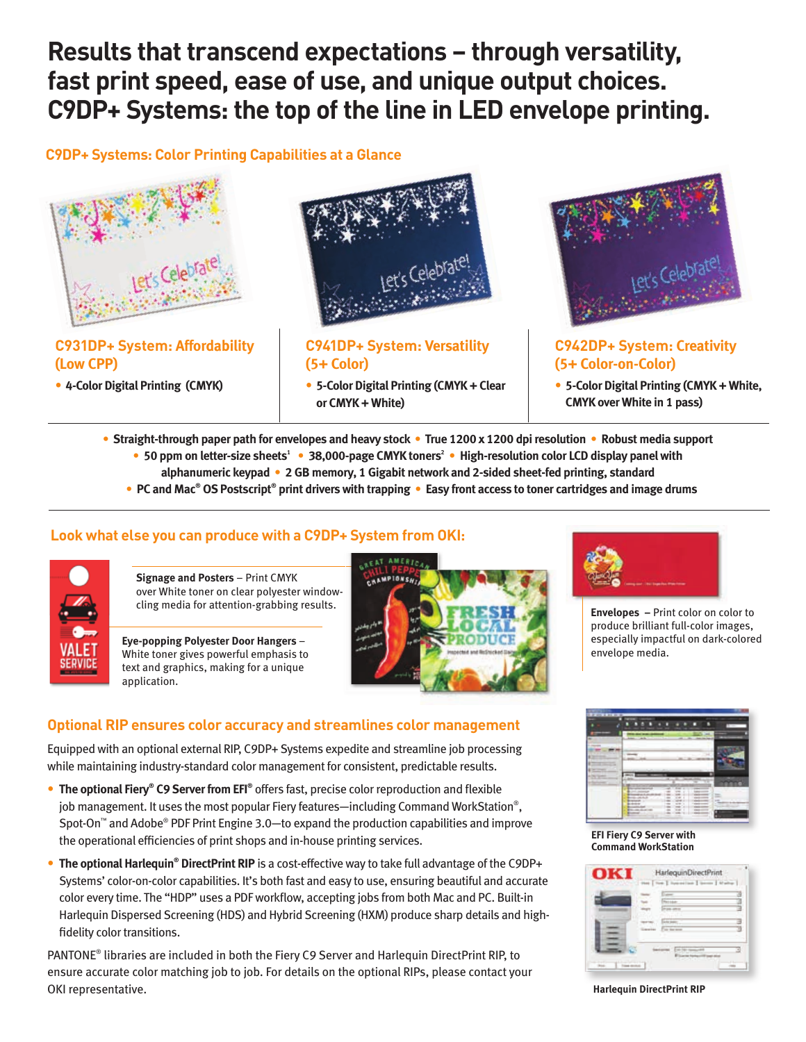## **Results that transcend expectations – through versatility, fast print speed, ease of use, and unique output choices. C9DP+ Systems: the top of the line in LED envelope printing.**

## **C9DP+ Systems: Color Printing Capabilities at a Glance**



**(Low CPP)**

• **4-Color Digital Printing (CMYK)**



**C941DP+ System: Versatility (5+ Color)**

• **5-Color Digital Printing (CMYK + Clear or CMYK + White)**



## **C942DP+ System: Creativity (5+ Color-on-Color)**

- **5-Color Digital Printing (CMYK + White, CMYK over White in 1 pass)**
- **Straight-through paper path for envelopes and heavy stock True 1200 x 1200 dpi resolution Robust media support**  • 50 ppm on letter-size sheets<sup>1</sup> • 38,000-page CMYK toners<sup>2</sup> • High-resolution color LCD display panel with **alphanumeric keypad • 2 GB memory, 1 Gigabit network and 2-sided sheet-fed printing, standard** 
	- **PC and Mac<sup>®</sup> OS Postscript<sup>®</sup> print drivers with trapping Easy front access to toner cartridges and image drums**

#### **Look what else you can produce with a C9DP+ System from OKI:**



**Signage and Posters** – Print CMYK over White toner on clear polyester window-

**Eye-popping Polyester Door Hangers** – White toner gives powerful emphasis to text and graphics, making for a unique application.





produce brilliant full-color images, especially impactful on dark-colored envelope media.

**EFI Fiery C9 Server with Command WorkStation**



**Harlequin DirectPrint RIP**

#### **Optional RIP ensures color accuracy and streamlines color management**

Equipped with an optional external RIP, C9DP+ Systems expedite and streamline job processing while maintaining industry-standard color management for consistent, predictable results.

- **The optional Fiery® C9 Server from EFI®** offers fast, precise color reproduction and flexible job management. It uses the most popular Fiery features—including Command WorkStation®, Spot-On™ and Adobe® PDF Print Engine 3.0—to expand the production capabilities and improve the operational efficiencies of print shops and in-house printing services.
- **The optional Harlequin<sup>®</sup> DirectPrint RIP** is a cost-effective way to take full advantage of the C9DP+ Systems' color-on-color capabilities. It's both fast and easy to use, ensuring beautiful and accurate color every time. The "HDP" uses a PDF workflow, accepting jobs from both Mac and PC. Built-in Harlequin Dispersed Screening (HDS) and Hybrid Screening (HXM) produce sharp details and highfidelity color transitions.

PANTONE<sup>®</sup> libraries are included in both the Fiery C9 Server and Harlequin DirectPrint RIP, to ensure accurate color matching job to job. For details on the optional RIPs, please contact your OKI representative.